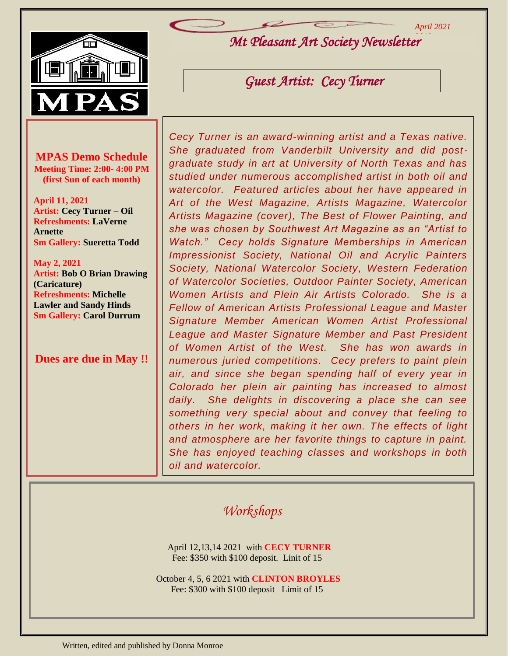*April 2021*



*Mt Pleasant Art Society Newsletter 2019*

*Guest Artist: Cecy Turner* 

**MPAS Demo Schedule Meeting Time: 2:00- 4:00 PM (first Sun of each month)**

**April 11, 2021 Artist: Cecy Turner – Oil Refreshments: LaVerne Arnette Sm Gallery: Sueretta Todd**

**May 2, 2021 Artist: Bob O Brian Drawing (Caricature) Refreshments: Michelle Lawler and Sandy Hinds Sm Gallery: Carol Durrum**

**Dues are due in May !!**

*Cecy Turner is an award-winning artist and a Texas native. She graduated from Vanderbilt University and did postgraduate study in art at University of North Texas and has studied under numerous accomplished artist in both oil and watercolor. Featured articles about her have appeared in Art of the West Magazine, Artists Magazine, Watercolor Artists Magazine (cover), The Best of Flower Painting, and she was chosen by Southwest Art Magazine as an "Artist to Watch." Cecy holds Signature Memberships in American Impressionist Society, National Oil and Acrylic Painters Society, National Watercolor Society, Western Federation of Watercolor Societies, Outdoor Painter Society, American Women Artists and Plein Air Artists Colorado. She is a Fellow of American Artists Professional League and Master Signature Member American Women Artist Professional League and Master Signature Member and Past President of Women Artist of the West. She has won awards in numerous juried competitions. Cecy prefers to paint plein air, and since she began spending half of every year in Colorado her plein air painting has increased to almost daily. She delights in discovering a place she can see something very special about and convey that feeling to others in her work, making it her own. The effects of light and atmosphere are her favorite things to capture in paint. She has enjoyed teaching classes and workshops in both oil and watercolor.* 

## *Workshops*

 April 12,13,14 2021 with **CECY TURNER** Fee: \$350 with \$100 deposit. Linit of 15

October 4, 5, 6 2021 with **CLINTON BROYLES** Fee: \$300 with \$100 deposit Limit of 15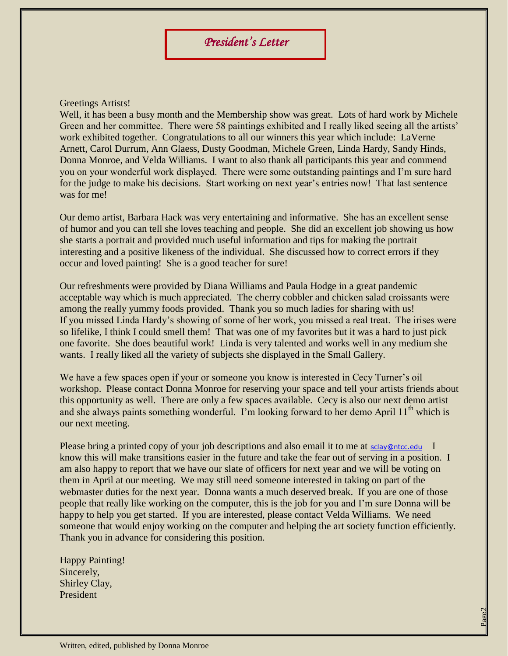## Greetings Artists!

Well, it has been a busy month and the Membership show was great. Lots of hard work by Michele Green and her committee. There were 58 paintings exhibited and I really liked seeing all the artists' work exhibited together. Congratulations to all our winners this year which include: LaVerne Arnett, Carol Durrum, Ann Glaess, Dusty Goodman, Michele Green, Linda Hardy, Sandy Hinds, Donna Monroe, and Velda Williams. I want to also thank all participants this year and commend you on your wonderful work displayed. There were some outstanding paintings and I'm sure hard for the judge to make his decisions. Start working on next year's entries now! That last sentence was for me!

Our demo artist, Barbara Hack was very entertaining and informative. She has an excellent sense of humor and you can tell she loves teaching and people. She did an excellent job showing us how she starts a portrait and provided much useful information and tips for making the portrait interesting and a positive likeness of the individual. She discussed how to correct errors if they occur and loved painting! She is a good teacher for sure!

Our refreshments were provided by Diana Williams and Paula Hodge in a great pandemic acceptable way which is much appreciated. The cherry cobbler and chicken salad croissants were among the really yummy foods provided. Thank you so much ladies for sharing with us! If you missed Linda Hardy's showing of some of her work, you missed a real treat. The irises were so lifelike, I think I could smell them! That was one of my favorites but it was a hard to just pick one favorite. She does beautiful work! Linda is very talented and works well in any medium she wants. I really liked all the variety of subjects she displayed in the Small Gallery.

We have a few spaces open if your or someone you know is interested in Cecy Turner's oil workshop. Please contact Donna Monroe for reserving your space and tell your artists friends about this opportunity as well. There are only a few spaces available. Cecy is also our next demo artist and she always paints something wonderful. I'm looking forward to her demo April  $11<sup>th</sup>$  which is our next meeting.

Please bring a printed copy of your job descriptions and also email it to me at [sclay@ntcc.edu](mailto:sclay@ntcc.edu) I know this will make transitions easier in the future and take the fear out of serving in a position. I am also happy to report that we have our slate of officers for next year and we will be voting on them in April at our meeting. We may still need someone interested in taking on part of the webmaster duties for the next year. Donna wants a much deserved break. If you are one of those people that really like working on the computer, this is the job for you and I'm sure Donna will be happy to help you get started. If you are interested, please contact Velda Williams. We need someone that would enjoy working on the computer and helping the art society function efficiently. Thank you in advance for considering this position.

Page2

Happy Painting! Sincerely, Shirley Clay, President